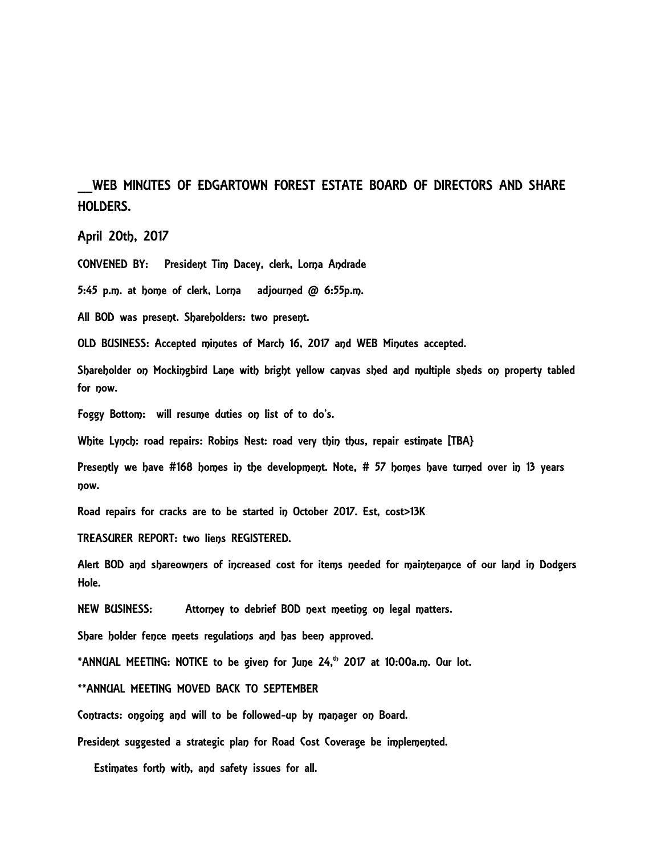## WEB MINUTES OF EDGARTOWN FOREST ESTATE BOARD OF DIRECTORS AND SHARE HOLDERS.

April 20th, 2017

CONVENED BY: President Tim Dacey, clerk, Lorna Andrade

5:45 p.m. at home of clerk, Lorna adjourned @ 6:55p.m.

All BOD was present. Shareholders: two present.

OLD BUSINESS: Accepted minutes of March 16, 2017 and WEB Minutes accepted.

Shareholder on Mockingbird Lane with bright yellow canvas shed and multiple sheds on property tabled for now.

Foggy Bottom: will resume duties on list of to do's.

White Lynch: road repairs: Robins Nest: road very thin thus, repair estimate [TBA}

Presently we have #168 homes in the development. Note, # 57 homes have turned over in 13 years now.

Road repairs for cracks are to be started in October 2017. Est, cost>13K

TREASURER REPORT: two liens REGISTERED.

Alert BOD and shareowners of increased cost for items needed for maintenance of our land in Dodgers Hole.

NEW BUSINESS: Attorney to debrief BOD next meeting on legal matters.

Share holder fence meets regulations and has been approved.

\*ANNUAL MEETING: NOTICE to be given for June  $24$ ,<sup>th</sup> 2017 at 10:00a.m. Our lot.

\*\*ANNUAL MEETING MOVED BACK TO SEPTEMBER

Contracts: ongoing and will to be followed-up by manager on Board.

President suggested a strategic plan for Road Cost Coverage be implemented.

Estimates forth with, and safety issues for all.